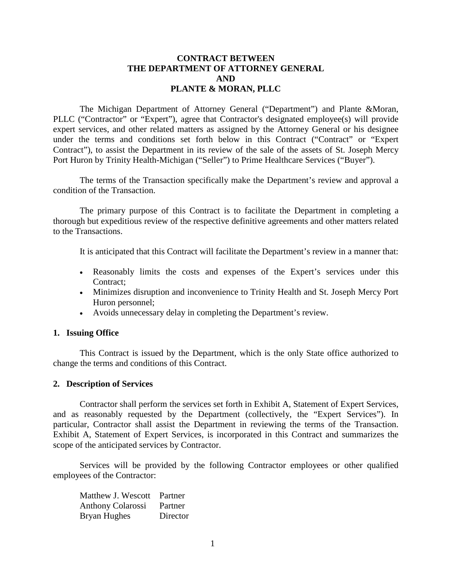# **CONTRACT BETWEEN THE DEPARTMENT OF ATTORNEY GENERAL AND PLANTE & MORAN, PLLC**

The Michigan Department of Attorney General ("Department") and Plante &Moran, PLLC ("Contractor" or "Expert"), agree that Contractor's designated employee(s) will provide expert services, and other related matters as assigned by the Attorney General or his designee under the terms and conditions set forth below in this Contract ("Contract" or "Expert Contract"), to assist the Department in its review of the sale of the assets of St. Joseph Mercy Port Huron by Trinity Health-Michigan ("Seller") to Prime Healthcare Services ("Buyer").

The terms of the Transaction specifically make the Department's review and approval a condition of the Transaction.

The primary purpose of this Contract is to facilitate the Department in completing a thorough but expeditious review of the respective definitive agreements and other matters related to the Transactions.

It is anticipated that this Contract will facilitate the Department's review in a manner that:

- Reasonably limits the costs and expenses of the Expert's services under this Contract;
- Minimizes disruption and inconvenience to Trinity Health and St. Joseph Mercy Port Huron personnel;
- Avoids unnecessary delay in completing the Department's review.

#### **1. Issuing Office**

This Contract is issued by the Department, which is the only State office authorized to change the terms and conditions of this Contract.

#### **2. Description of Services**

Contractor shall perform the services set forth in Exhibit A, Statement of Expert Services, and as reasonably requested by the Department (collectively, the "Expert Services"). In particular, Contractor shall assist the Department in reviewing the terms of the Transaction. Exhibit A, Statement of Expert Services, is incorporated in this Contract and summarizes the scope of the anticipated services by Contractor.

Services will be provided by the following Contractor employees or other qualified employees of the Contractor:

Matthew J. Wescott Partner Anthony Colarossi Partner Bryan Hughes Director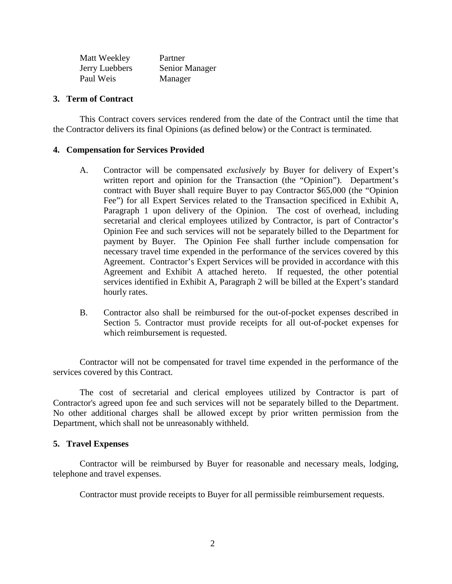| Matt Weekley   | Partner        |
|----------------|----------------|
| Jerry Luebbers | Senior Manager |
| Paul Weis      | Manager        |

## **3. Term of Contract**

This Contract covers services rendered from the date of the Contract until the time that the Contractor delivers its final Opinions (as defined below) or the Contract is terminated.

## **4. Compensation for Services Provided**

- A. Contractor will be compensated *exclusively* by Buyer for delivery of Expert's written report and opinion for the Transaction (the "Opinion"). Department's contract with Buyer shall require Buyer to pay Contractor \$65,000 (the "Opinion Fee") for all Expert Services related to the Transaction specificed in Exhibit A, Paragraph 1 upon delivery of the Opinion. The cost of overhead, including secretarial and clerical employees utilized by Contractor, is part of Contractor's Opinion Fee and such services will not be separately billed to the Department for payment by Buyer. The Opinion Fee shall further include compensation for necessary travel time expended in the performance of the services covered by this Agreement. Contractor's Expert Services will be provided in accordance with this Agreement and Exhibit A attached hereto. If requested, the other potential services identified in Exhibit A, Paragraph 2 will be billed at the Expert's standard hourly rates.
- B. Contractor also shall be reimbursed for the out-of-pocket expenses described in Section 5. Contractor must provide receipts for all out-of-pocket expenses for which reimbursement is requested.

Contractor will not be compensated for travel time expended in the performance of the services covered by this Contract.

The cost of secretarial and clerical employees utilized by Contractor is part of Contractor's agreed upon fee and such services will not be separately billed to the Department. No other additional charges shall be allowed except by prior written permission from the Department, which shall not be unreasonably withheld.

## **5. Travel Expenses**

Contractor will be reimbursed by Buyer for reasonable and necessary meals, lodging, telephone and travel expenses.

Contractor must provide receipts to Buyer for all permissible reimbursement requests.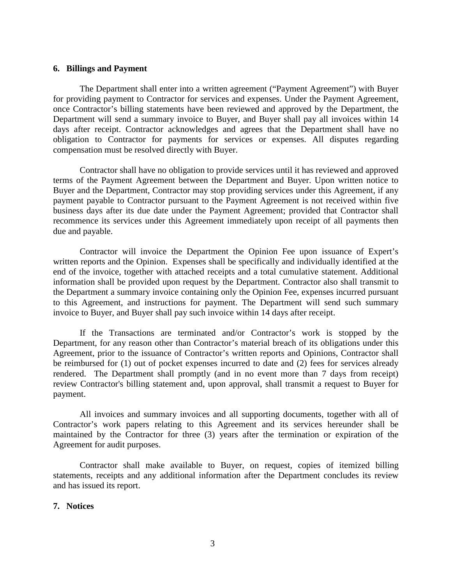### **6. Billings and Payment**

The Department shall enter into a written agreement ("Payment Agreement") with Buyer for providing payment to Contractor for services and expenses. Under the Payment Agreement, once Contractor's billing statements have been reviewed and approved by the Department, the Department will send a summary invoice to Buyer, and Buyer shall pay all invoices within 14 days after receipt. Contractor acknowledges and agrees that the Department shall have no obligation to Contractor for payments for services or expenses. All disputes regarding compensation must be resolved directly with Buyer.

Contractor shall have no obligation to provide services until it has reviewed and approved terms of the Payment Agreement between the Department and Buyer. Upon written notice to Buyer and the Department, Contractor may stop providing services under this Agreement, if any payment payable to Contractor pursuant to the Payment Agreement is not received within five business days after its due date under the Payment Agreement; provided that Contractor shall recommence its services under this Agreement immediately upon receipt of all payments then due and payable.

Contractor will invoice the Department the Opinion Fee upon issuance of Expert's written reports and the Opinion. Expenses shall be specifically and individually identified at the end of the invoice, together with attached receipts and a total cumulative statement. Additional information shall be provided upon request by the Department. Contractor also shall transmit to the Department a summary invoice containing only the Opinion Fee, expenses incurred pursuant to this Agreement, and instructions for payment. The Department will send such summary invoice to Buyer, and Buyer shall pay such invoice within 14 days after receipt.

If the Transactions are terminated and/or Contractor's work is stopped by the Department, for any reason other than Contractor's material breach of its obligations under this Agreement, prior to the issuance of Contractor's written reports and Opinions, Contractor shall be reimbursed for (1) out of pocket expenses incurred to date and (2) fees for services already rendered. The Department shall promptly (and in no event more than 7 days from receipt) review Contractor's billing statement and, upon approval, shall transmit a request to Buyer for payment.

All invoices and summary invoices and all supporting documents, together with all of Contractor's work papers relating to this Agreement and its services hereunder shall be maintained by the Contractor for three (3) years after the termination or expiration of the Agreement for audit purposes.

Contractor shall make available to Buyer, on request, copies of itemized billing statements, receipts and any additional information after the Department concludes its review and has issued its report.

#### **7. Notices**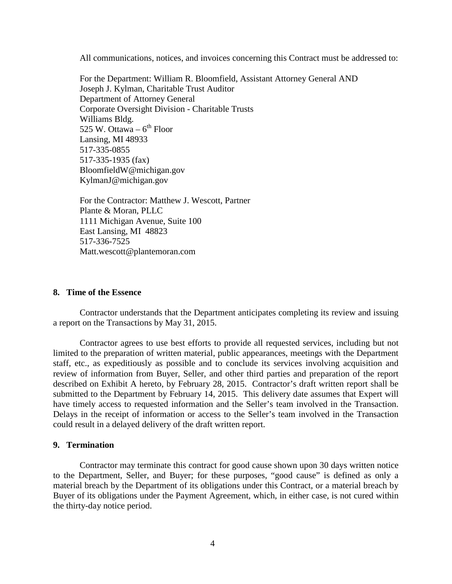All communications, notices, and invoices concerning this Contract must be addressed to:

For the Department: William R. Bloomfield, Assistant Attorney General AND Joseph J. Kylman, Charitable Trust Auditor Department of Attorney General Corporate Oversight Division - Charitable Trusts Williams Bldg. 525 W. Ottawa –  $6<sup>th</sup>$  Floor Lansing, MI 48933 517-335-0855 517-335-1935 (fax) BloomfieldW@michigan.gov KylmanJ@michigan.gov

For the Contractor: Matthew J. Wescott, Partner Plante & Moran, PLLC 1111 Michigan Avenue, Suite 100 East Lansing, MI 48823 517-336-7525 Matt.wescott@plantemoran.com

### **8. Time of the Essence**

Contractor understands that the Department anticipates completing its review and issuing a report on the Transactions by May 31, 2015.

Contractor agrees to use best efforts to provide all requested services, including but not limited to the preparation of written material, public appearances, meetings with the Department staff, etc., as expeditiously as possible and to conclude its services involving acquisition and review of information from Buyer, Seller, and other third parties and preparation of the report described on Exhibit A hereto, by February 28, 2015. Contractor's draft written report shall be submitted to the Department by February 14, 2015. This delivery date assumes that Expert will have timely access to requested information and the Seller's team involved in the Transaction. Delays in the receipt of information or access to the Seller's team involved in the Transaction could result in a delayed delivery of the draft written report.

#### **9. Termination**

Contractor may terminate this contract for good cause shown upon 30 days written notice to the Department, Seller, and Buyer; for these purposes, "good cause" is defined as only a material breach by the Department of its obligations under this Contract, or a material breach by Buyer of its obligations under the Payment Agreement, which, in either case, is not cured within the thirty-day notice period.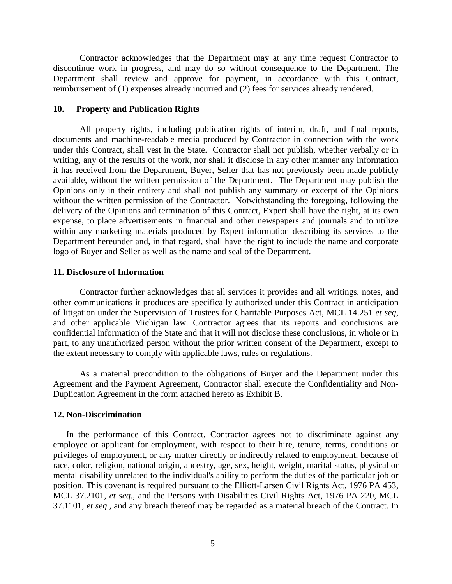Contractor acknowledges that the Department may at any time request Contractor to discontinue work in progress, and may do so without consequence to the Department. The Department shall review and approve for payment, in accordance with this Contract, reimbursement of (1) expenses already incurred and (2) fees for services already rendered.

### **10. Property and Publication Rights**

All property rights, including publication rights of interim, draft, and final reports, documents and machine-readable media produced by Contractor in connection with the work under this Contract, shall vest in the State. Contractor shall not publish, whether verbally or in writing, any of the results of the work, nor shall it disclose in any other manner any information it has received from the Department, Buyer, Seller that has not previously been made publicly available, without the written permission of the Department. The Department may publish the Opinions only in their entirety and shall not publish any summary or excerpt of the Opinions without the written permission of the Contractor. Notwithstanding the foregoing, following the delivery of the Opinions and termination of this Contract, Expert shall have the right, at its own expense, to place advertisements in financial and other newspapers and journals and to utilize within any marketing materials produced by Expert information describing its services to the Department hereunder and, in that regard, shall have the right to include the name and corporate logo of Buyer and Seller as well as the name and seal of the Department.

## **11. Disclosure of Information**

Contractor further acknowledges that all services it provides and all writings, notes, and other communications it produces are specifically authorized under this Contract in anticipation of litigation under the Supervision of Trustees for Charitable Purposes Act, MCL 14.251 *et seq*, and other applicable Michigan law. Contractor agrees that its reports and conclusions are confidential information of the State and that it will not disclose these conclusions, in whole or in part, to any unauthorized person without the prior written consent of the Department, except to the extent necessary to comply with applicable laws, rules or regulations.

As a material precondition to the obligations of Buyer and the Department under this Agreement and the Payment Agreement, Contractor shall execute the Confidentiality and Non-Duplication Agreement in the form attached hereto as Exhibit B.

#### **12. Non-Discrimination**

In the performance of this Contract, Contractor agrees not to discriminate against any employee or applicant for employment, with respect to their hire, tenure, terms, conditions or privileges of employment, or any matter directly or indirectly related to employment, because of race, color, religion, national origin, ancestry, age, sex, height, weight, marital status, physical or mental disability unrelated to the individual's ability to perform the duties of the particular job or position. This covenant is required pursuant to the Elliott-Larsen Civil Rights Act, 1976 PA 453, MCL 37.2101, *et seq*., and the Persons with Disabilities Civil Rights Act, 1976 PA 220, MCL 37.1101, *et seq.*, and any breach thereof may be regarded as a material breach of the Contract. In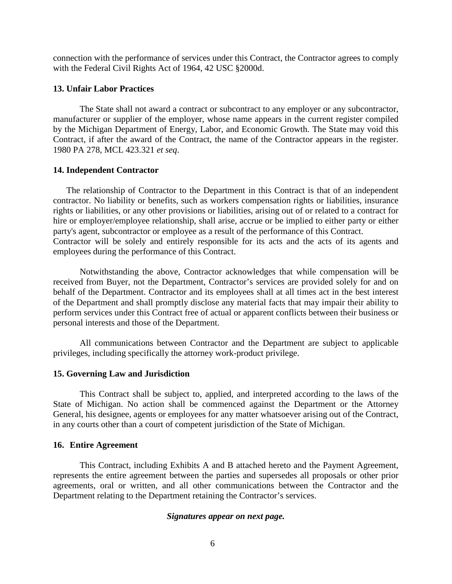connection with the performance of services under this Contract, the Contractor agrees to comply with the Federal Civil Rights Act of 1964, 42 USC §2000d.

## **13. Unfair Labor Practices**

The State shall not award a contract or subcontract to any employer or any subcontractor, manufacturer or supplier of the employer, whose name appears in the current register compiled by the Michigan Department of Energy, Labor, and Economic Growth. The State may void this Contract, if after the award of the Contract, the name of the Contractor appears in the register. 1980 PA 278, MCL 423.321 *et seq*.

## **14. Independent Contractor**

The relationship of Contractor to the Department in this Contract is that of an independent contractor. No liability or benefits, such as workers compensation rights or liabilities, insurance rights or liabilities, or any other provisions or liabilities, arising out of or related to a contract for hire or employer/employee relationship, shall arise, accrue or be implied to either party or either party's agent, subcontractor or employee as a result of the performance of this Contract. Contractor will be solely and entirely responsible for its acts and the acts of its agents and employees during the performance of this Contract.

Notwithstanding the above, Contractor acknowledges that while compensation will be received from Buyer, not the Department, Contractor's services are provided solely for and on behalf of the Department. Contractor and its employees shall at all times act in the best interest of the Department and shall promptly disclose any material facts that may impair their ability to perform services under this Contract free of actual or apparent conflicts between their business or personal interests and those of the Department.

All communications between Contractor and the Department are subject to applicable privileges, including specifically the attorney work-product privilege.

## **15. Governing Law and Jurisdiction**

This Contract shall be subject to, applied, and interpreted according to the laws of the State of Michigan. No action shall be commenced against the Department or the Attorney General, his designee, agents or employees for any matter whatsoever arising out of the Contract, in any courts other than a court of competent jurisdiction of the State of Michigan.

## **16. Entire Agreement**

This Contract, including Exhibits A and B attached hereto and the Payment Agreement, represents the entire agreement between the parties and supersedes all proposals or other prior agreements, oral or written, and all other communications between the Contractor and the Department relating to the Department retaining the Contractor's services.

## *Signatures appear on next page.*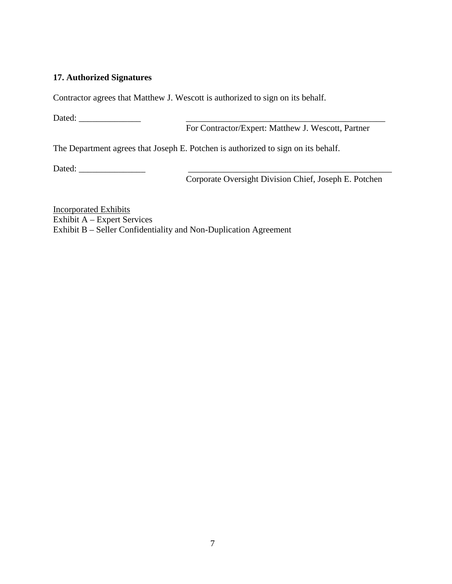# **17. Authorized Signatures**

Contractor agrees that Matthew J. Wescott is authorized to sign on its behalf.

Dated: \_\_\_\_\_\_\_\_\_\_\_\_\_\_ \_\_\_\_\_\_\_\_\_\_\_\_\_\_\_\_\_\_\_\_\_\_\_\_\_\_\_\_\_\_\_\_\_\_\_\_\_\_\_\_\_\_\_\_\_

For Contractor/Expert: Matthew J. Wescott, Partner

The Department agrees that Joseph E. Potchen is authorized to sign on its behalf.

Dated: \_\_\_\_\_\_\_\_\_\_\_\_\_\_\_ \_\_\_\_\_\_\_\_\_\_\_\_\_\_\_\_\_\_\_\_\_\_\_\_\_\_\_\_\_\_\_\_\_\_\_\_\_\_\_\_\_\_\_\_\_\_

Corporate Oversight Division Chief, Joseph E. Potchen

Incorporated Exhibits Exhibit A – Expert Services Exhibit B – Seller Confidentiality and Non-Duplication Agreement